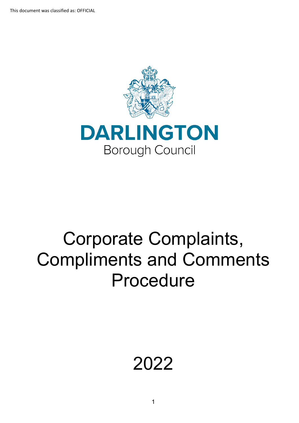



# Corporate Complaints, Compliments and Comments Procedure

# 2022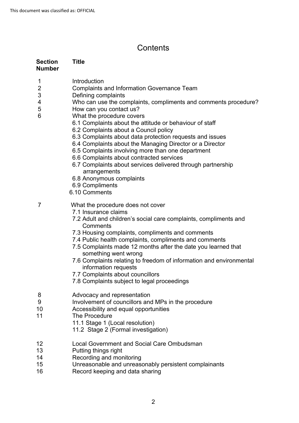## **Contents**

| <b>Section</b><br><b>Number</b>         | <b>Title</b>                                                                                                                                                                                                                                                                                                                                                                                                                                                                                                                                                                                                                                                                                    |
|-----------------------------------------|-------------------------------------------------------------------------------------------------------------------------------------------------------------------------------------------------------------------------------------------------------------------------------------------------------------------------------------------------------------------------------------------------------------------------------------------------------------------------------------------------------------------------------------------------------------------------------------------------------------------------------------------------------------------------------------------------|
| 1<br>$\overline{2}$<br>3<br>4<br>5<br>6 | Introduction<br><b>Complaints and Information Governance Team</b><br>Defining complaints<br>Who can use the complaints, compliments and comments procedure?<br>How can you contact us?<br>What the procedure covers<br>6.1 Complaints about the attitude or behaviour of staff<br>6.2 Complaints about a Council policy<br>6.3 Complaints about data protection requests and issues<br>6.4 Complaints about the Managing Director or a Director<br>6.5 Complaints involving more than one department<br>6.6 Complaints about contracted services<br>6.7 Complaints about services delivered through partnership<br>arrangements<br>6.8 Anonymous complaints<br>6.9 Compliments<br>6.10 Comments |
| 7                                       | What the procedure does not cover<br>7.1 Insurance claims<br>7.2 Adult and children's social care complaints, compliments and<br>Comments<br>7.3 Housing complaints, compliments and comments<br>7.4 Public health complaints, compliments and comments<br>7.5 Complaints made 12 months after the date you learned that<br>something went wrong<br>7.6 Complaints relating to freedom of information and environmental<br>information requests<br>7.7 Complaints about councillors<br>7.8 Complaints subject to legal proceedings                                                                                                                                                              |
| 8<br>9<br>10<br>11                      | Advocacy and representation<br>Involvement of councillors and MPs in the procedure<br>Accessibility and equal opportunities<br>The Procedure<br>11.1 Stage 1 (Local resolution)<br>11.2 Stage 2 (Formal investigation)                                                                                                                                                                                                                                                                                                                                                                                                                                                                          |
| 12<br>13<br>14<br>15<br>16              | Local Government and Social Care Ombudsman<br>Putting things right<br>Recording and monitoring<br>Unreasonable and unreasonably persistent complainants<br>Record keeping and data sharing                                                                                                                                                                                                                                                                                                                                                                                                                                                                                                      |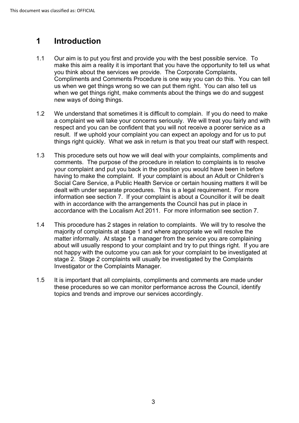#### **1 Introduction**

- make this aim a reality it is important that you have the opportunity to tell us what Compliments and Comments Procedure is one way you can do this. You can tell us when we get things wrong so we can put them right. You can also tell us new ways of doing things. 1.1 Our aim is to put you first and provide you with the best possible service. To you think about the services we provide. The Corporate Complaints, when we get things right, make comments about the things we do and suggest
- We understand that sometimes it is difficult to complain. If you do need to make result. If we uphold your complaint you can expect an apology and for us to put 1.2 a complaint we will take your concerns seriously. We will treat you fairly and with respect and you can be confident that you will not receive a poorer service as a things right quickly. What we ask in return is that you treat our staff with respect.
- your complaint and put you back in the position you would have been in before 1.3 This procedure sets out how we will deal with your complaints, compliments and comments. The purpose of the procedure in relation to complaints is to resolve having to make the complaint. If your complaint is about an Adult or Children's Social Care Service, a Public Health Service or certain housing matters it will be dealt with under separate procedures. This is a legal requirement. For more information see section 7. If your complaint is about a Councillor it will be dealt with in accordance with the arrangements the Council has put in place in accordance with the Localism Act 2011. For more information see section 7.
- matter informally. At stage 1 a manager from the service you are complaining about will usually respond to your complaint and try to put things right. If you are not happy with the outcome you can ask for your complaint to be investigated at 1.4 This procedure has 2 stages in relation to complaints. We will try to resolve the majority of complaints at stage 1 and where appropriate we will resolve the stage 2. Stage 2 complaints will usually be investigated by the Complaints Investigator or the Complaints Manager.
- 1.5 It is important that all complaints, compliments and comments are made under these procedures so we can monitor performance across the Council, identify topics and trends and improve our services accordingly.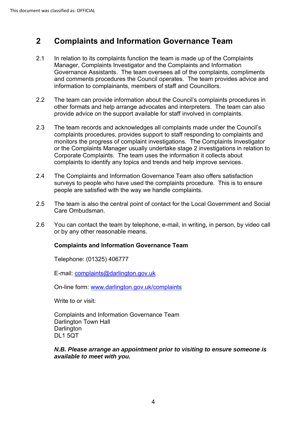#### **2 Complaints and Information Governance Team**

- In relation to its complaints function the team is made up of the Complaints 2.1 Manager, Complaints Investigator and the Complaints and Information Governance Assistants. The team oversees all of the complaints, compliments and comments procedures the Council operates. The team provides advice and information to complainants, members of staff and Councillors.
- provide advice on the support available for staff involved in complaints. 2.2 The team can provide information about the Council's complaints procedures in other formats and help arrange advocates and interpreters. The team can also
- The team records and acknowledges all complaints made under the Council's complaints to identify any topics and trends and help improve services. 2.3 complaints procedures, provides support to staff responding to complaints and monitors the progress of complaint investigations. The Complaints Investigator or the Complaints Manager usually undertake stage 2 investigations in relation to Corporate Complaints. The team uses the information it collects about
- surveys to people who have used the complaints procedure. This is to ensure 2.4 The Complaints and Information Governance Team also offers satisfaction people are satisfied with the way we handle complaints.
- Care Ombudsman. 2.5 The team is also the central point of contact for the Local Government and Social
- 2.6 You can contact the team by telephone, e-mail, in writing, in person, by video call or by any other reasonable means.

#### **Complaints and Information Governance Team**

Telephone: (01325) 406777

E-mail: [complaints@darlington.gov.uk](mailto:feedback@darlington.gov.uk?subject=feedback@darlington.gov.uk) 

On-line form: [www.darlington.gov.uk/complaints](http://www.darlington.gov.uk/complaints) 

Write to or visit:

 Complaints and Information Governance Team Darlington Town Hall **Darlington** DL1 5QT

#### *N.B. Please arrange an appointment prior to visiting to ensure someone is available to meet with you.*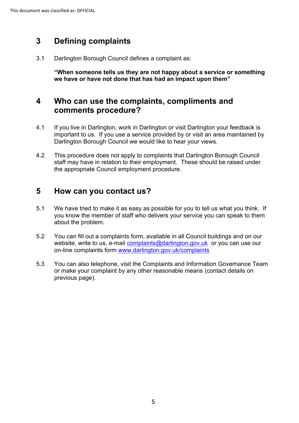## **3 Defining complaints**

3.1 Darlington Borough Council defines a complaint as:

**"When someone tells us they are not happy about a service or something we have or have not done that has had an impact upon them"**

## **4 Who can use the complaints, compliments and comments procedure?**

- important to us. If you use a service provided by or visit an area maintained by 4.1 If you live in Darlington, work in Darlington or visit Darlington your feedback is Darlington Borough Council we would like to hear your views.
- 4.2 This procedure does not apply to complaints that Darlington Borough Council staff may have in relation to their employment. These should be raised under the appropriate Council employment procedure.

## **5 How can you contact us?**

- 5.1 We have tried to make it as easy as possible for you to tell us what you think. If you know the member of staff who delivers your service you can speak to them about the problem.
- website, write to us, e-mail <u>complaints@darlington.gov.uk</u> or you can use our 5.2 You can fill out a complaints form, available in all Council buildings and on our on-line complaints form [www.darlington.gov.uk/complaints](http://www.darlington.gov.uk/feedback)
- 5.3 You can also telephone, visit the Complaints and Information Governance Team or make your complaint by any other reasonable means (contact details on previous page).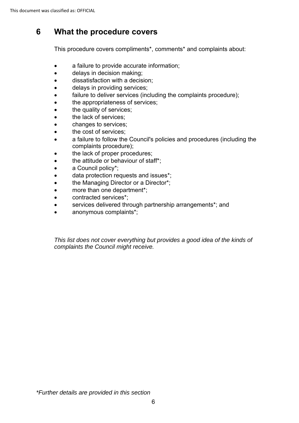## **6 What the procedure covers**

This procedure covers compliments\*, comments\* and complaints about:

- a failure to provide accurate information;
- delays in decision making;
- dissatisfaction with a decision;
- delays in providing services;
- failure to deliver services (including the complaints procedure);
- the appropriateness of services;
- the quality of services;
- the lack of services;
- changes to services;
- the cost of services;
- a failure to follow the Council's policies and procedures (including the complaints procedure);
- the lack of proper procedures;
- the attitude or behaviour of staff\*:
- a Council policy\*;
- data protection requests and issues\*;
- the Managing Director or a Director\*;
- more than one department\*;
- contracted services\*;
- services delivered through partnership arrangements\*; and
- anonymous complaints\*;

*This list does not cover everything but provides a good idea of the kinds of complaints the Council might receive.*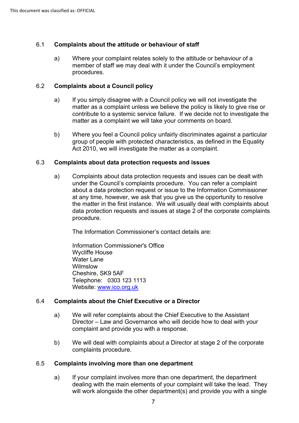#### 6.1 **Complaints about the attitude or behaviour of staff**

a) Where your complaint relates solely to the attitude or behaviour of a member of staff we may deal with it under the Council's employment procedures.

#### 6.2 **Complaints about a Council policy**

- contribute to a systemic service failure. If we decide not to investigate the a) If you simply disagree with a Council policy we will not investigate the matter as a complaint unless we believe the policy is likely to give rise or matter as a complaint we will take your comments on board.
- group of people with protected characteristics, as defined in the Equality b) Where you feel a Council policy unfairly discriminates against a particular Act 2010, we will investigate the matter as a complaint.

#### 6.3 **Complaints about data protection requests and issues**

 a) Complaints about data protection requests and issues can be dealt with at any time, however, we ask that you give us the opportunity to resolve the matter in the first instance. We will usually deal with complaints about under the Council's complaints procedure. You can refer a complaint about a data protection request or issue to the Information Commissioner data protection requests and issues at stage 2 of the corporate complaints procedure.

The Information Commissioner's contact details are:

 Telephone: 0303 123 1113 Information Commissioner's Office Wycliffe House Water Lane Wilmslow Cheshire, SK9 5AF Website: [www.ico.org.uk](http://www.ico.org.uk/) 

#### 6.4 **Complaints about the Chief Executive or a Director**

- complaint and provide you with a response. a) We will refer complaints about the Chief Executive to the Assistant Director – Law and Governance who will decide how to deal with your
- b) We will deal with complaints about a Director at stage 2 of the corporate complaints procedure.

#### 6.5 **Complaints involving more than one department**

a) If your complaint involves more than one department, the department dealing with the main elements of your complaint will take the lead. They will work alongside the other department(s) and provide you with a single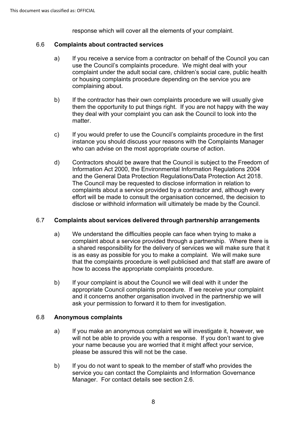response which will cover all the elements of your complaint.

#### 6.6 **Complaints about contracted services**

- a) If you receive a service from a contractor on behalf of the Council you can use the Council's complaints procedure. We might deal with your complaint under the adult social care, children's social care, public health or housing complaints procedure depending on the service you are complaining about.
- b) If the contractor has their own complaints procedure we will usually give them the opportunity to put things right. If you are not happy with the way they deal with your complaint you can ask the Council to look into the matter.
- c) If you would prefer to use the Council's complaints procedure in the first instance you should discuss your reasons with the Complaints Manager who can advise on the most appropriate course of action.
- d) Contractors should be aware that the Council is subject to the Freedom of and the General Data Protection Regulations/Data Protection Act 2018. and the General Data Protection Regulations/Data Protection Act 2018.<br>The Council may be requested to disclose information in relation to disclose or withhold information will ultimately be made by the Council. Information Act 2000, the Environmental Information Regulations 2004 complaints about a service provided by a contractor and, although every effort will be made to consult the organisation concerned, the decision to

### 6.7 **Complaints about services delivered through partnership arrangements**

- a) We understand the difficulties people can face when trying to make a complaint about a service provided through a partnership. Where there is a shared responsibility for the delivery of services we will make sure that it is as easy as possible for you to make a complaint. We will make sure that the complaints procedure is well publicised and that staff are aware of how to access the appropriate complaints procedure.
- and it concerns another organisation involved in the partnership we will b) If your complaint is about the Council we will deal with it under the appropriate Council complaints procedure. If we receive your complaint ask your permission to forward it to them for investigation.

### 6.8 **Anonymous complaints**

- a) If you make an anonymous complaint we will investigate it, however, we will not be able to provide you with a response. If you don't want to give your name because you are worried that it might affect your service, please be assured this will not be the case.
- Manager. For contact details see section 2.6. b) If you do not want to speak to the member of staff who provides the service you can contact the Complaints and Information Governance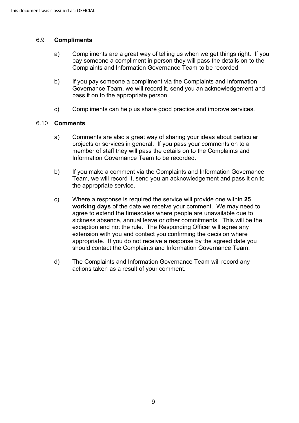#### 6.9 **Compliments**

- pay someone a compliment in person they will pass the details on to the Complaints and Information Governance Team to be recorded. a) Compliments are a great way of telling us when we get things right. If you
- b) If you pay someone a compliment via the Complaints and Information Governance Team, we will record it, send you an acknowledgement and pass it on to the appropriate person.
- c) Compliments can help us share good practice and improve services.

#### 6.10 **Comments**

- projects or services in general. If you pass your comments on to a a) Comments are also a great way of sharing your ideas about particular member of staff they will pass the details on to the Complaints and Information Governance Team to be recorded.
- b) If you make a comment via the Complaints and Information Governance Team, we will record it, send you an acknowledgement and pass it on to the appropriate service.
- **working days** of the date we receive your comment. We may need to agree to extend the timescales where people are unavailable due to sickness absence, annual leave or other commitments. This will be the exception and not the rule. The Responding Officer will agree any extension with you and contact you confirming the decision where c) Where a response is required the service will provide one within **25**  appropriate. If you do not receive a response by the agreed date you should contact the Complaints and Information Governance Team.
- d) The Complaints and Information Governance Team will record any actions taken as a result of your comment.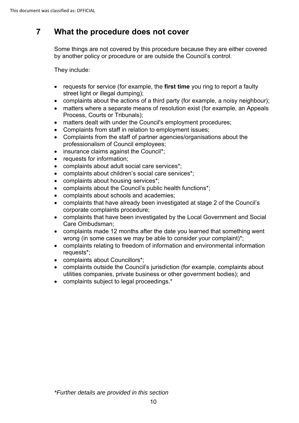## **7 What the procedure does not cover**

Some things are not covered by this procedure because they are either covered by another policy or procedure or are outside the Council's control.

They include:

- requests for service (for example, the **first time** you ring to report a faulty street light or illegal dumping);
- complaints about the actions of a third party (for example, a noisy neighbour);
- matters where a separate means of resolution exist (for example, an Appeals Process, Courts or Tribunals);
- matters dealt with under the Council's employment procedures;
- Complaints from staff in relation to employment issues;
- Complaints from the staff of partner agencies/organisations about the professionalism of Council employees;
- insurance claims against the Council\*;
- requests for information;
- complaints about adult social care services\*;
- complaints about children's social care services\*;
- complaints about housing services\*;
- complaints about the Council's public health functions\*;
- complaints about schools and academies;
- complaints that have already been investigated at stage 2 of the Council's corporate complaints procedure;
- complaints that have been investigated by the Local Government and Social Care Ombudsman;
- • complaints made 12 months after the date you learned that something went wrong (in some cases we may be able to consider your complaint)\*;
- • complaints relating to freedom of information and environmental information requests\*;
- complaints about Councillors\*;
- utilities companies, private business or other government bodies); and • complaints outside the Council's jurisdiction (for example, complaints about
- complaints subject to legal proceedings.\*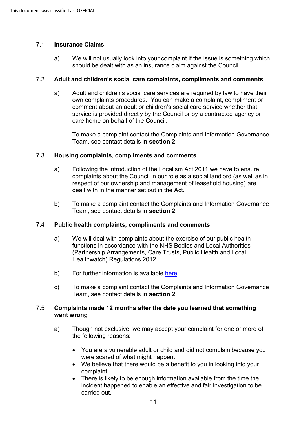#### 7.1 **Insurance Claims**

 a) We will not usually look into your complaint if the issue is something which should be dealt with as an insurance claim against the Council.

#### 7.2 **Adult and children's social care complaints, compliments and comments**

 a) Adult and children's social care services are required by law to have their own complaints procedures. You can make a complaint, compliment or comment about an adult or children's social care service whether that service is provided directly by the Council or by a contracted agency or care home on behalf of the Council.

To make a complaint contact the Complaints and Information Governance Team, see contact details in **section 2**.

#### 7.3 **Housing complaints, compliments and comments**

- a) Following the introduction of the Localism Act 2011 we have to ensure complaints about the Council in our role as a social landlord (as well as in respect of our ownership and management of leasehold housing) are dealt with in the manner set out in the Act.
- b) To make a complaint contact the Complaints and Information Governance Team, see contact details in **section 2**.

#### 7.4 **Public health complaints, compliments and comments**

- (Partnership Arrangements, Care Trusts, Public Health and Local a) We will deal with complaints about the exercise of our public health functions in accordance with the NHS Bodies and Local Authorities Healthwatch) Regulations 2012.
- b) For further information is available here.
- c) To make a complaint contact the Complaints and Information Governance Team, see contact details in **section 2**.

#### 7.5 **Complaints made 12 months after the date you learned that something went wrong**

- a) Though not exclusive, we may accept your complaint for one or more of the following reasons:
	- You are a vulnerable adult or child and did not complain because you were scared of what might happen.
	- • We believe that there would be a benefit to you in looking into your complaint.
	- incident happened to enable an effective and fair investigation to be • There is likely to be enough information available from the time the carried out.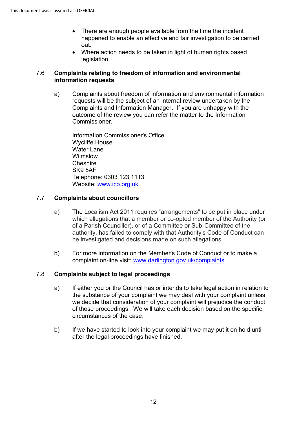- happened to enable an effective and fair investigation to be carried • There are enough people available from the time the incident out.
- Where action needs to be taken in light of human rights based legislation.

#### 7.6 **Complaints relating to freedom of information and environmental information requests**

 requests will be the subject of an internal review undertaken by the outcome of the review you can refer the matter to the Information a) Complaints about freedom of information and environmental information Complaints and Information Manager. If you are unhappy with the Commissioner.

Information Commissioner's Office Wycliffe House Water Lane Wilmslow **Cheshire** SK9 5AF Telephone: 0303 123 1113 Website: [www.ico.org.uk](http://www.ico.org.uk/) 

### 7.7 **Complaints about councillors**

- a) The Localism Act 2011 requires "arrangements" to be put in place under of a Parish Councillor), or of a Committee or Sub-Committee of the which allegations that a member or co-opted member of the Authority (or authority, has failed to comply with that Authority's Code of Conduct can be investigated and decisions made on such allegations.
- b) For more information on the Member's Code of Conduct or to make a complaint on-line visit: [www.darlington.gov.uk/complaints](http://www.darlington.gov.uk/feedback)

### 7.8 **Complaints subject to legal proceedings**

- of those proceedings. We will take each decision based on the specific a) If either you or the Council has or intends to take legal action in relation to the substance of your complaint we may deal with your complaint unless we decide that consideration of your complaint will prejudice the conduct circumstances of the case.
- b) If we have started to look into your complaint we may put it on hold until after the legal proceedings have finished.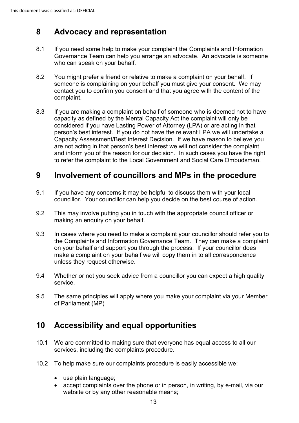## **8 Advocacy and representation**

- Governance Team can help you arrange an advocate. An advocate is someone 8.1 If you need some help to make your complaint the Complaints and Information who can speak on your behalf.
- 8.2 You might prefer a friend or relative to make a complaint on your behalf. If someone is complaining on your behalf you must give your consent. We may contact you to confirm you consent and that you agree with the content of the complaint.
- 8.3 If you are making a complaint on behalf of someone who is deemed not to have person's best interest. If you do not have the relevant LPA we will undertake a are not acting in that person's best interest we will not consider the complaint capacity as defined by the Mental Capacity Act the complaint will only be considered if you have Lasting Power of Attorney (LPA) or are acting in that Capacity Assessment/Best Interest Decision. If we have reason to believe you and inform you of the reason for our decision. In such cases you have the right to refer the complaint to the Local Government and Social Care Ombudsman.

## **9 Involvement of councillors and MPs in the procedure**

- 9.1 If you have any concerns it may be helpful to discuss them with your local councillor. Your councillor can help you decide on the best course of action.
- 9.2 This may involve putting you in touch with the appropriate council officer or making an enquiry on your behalf.
- 9.3 In cases where you need to make a complaint your councillor should refer you to the Complaints and Information Governance Team. They can make a complaint on your behalf and support you through the process. If your councillor does make a complaint on your behalf we will copy them in to all correspondence unless they request otherwise.
- 9.4 Whether or not you seek advice from a councillor you can expect a high quality service.
- 9.5 The same principles will apply where you make your complaint via your Member of Parliament (MP)

## **10 Accessibility and equal opportunities**

- 10.1 We are committed to making sure that everyone has equal access to all our services, including the complaints procedure.
- 10.2 To help make sure our complaints procedure is easily accessible we:
	- use plain language;
	- • accept complaints over the phone or in person, in writing, by e-mail, via our website or by any other reasonable means;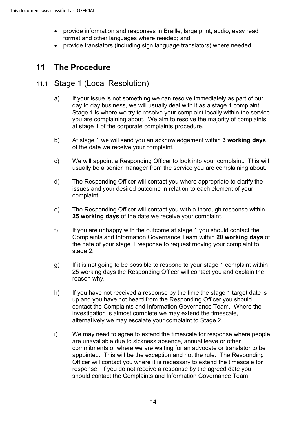- • provide information and responses in Braille, large print, audio, easy read format and other languages where needed; and
- provide translators (including sign language translators) where needed.

## **11 The Procedure**

## 11.1 Stage 1 (Local Resolution)

- a) If your issue is not something we can resolve immediately as part of our day to day business, we will usually deal with it as a stage 1 complaint. Stage 1 is where we try to resolve your complaint locally within the service you are complaining about. We aim to resolve the majority of complaints at stage 1 of the corporate complaints procedure.
- b) At stage 1 we will send you an acknowledgement within **3 working days**  of the date we receive your complaint.
- c) We will appoint a Responding Officer to look into your complaint. This will usually be a senior manager from the service you are complaining about.
- d) The Responding Officer will contact you where appropriate to clarify the issues and your desired outcome in relation to each element of your complaint.
- e) The Responding Officer will contact you with a thorough response within **25 working days** of the date we receive your complaint.
- Complaints and Information Governance Team within **20 working days** of f) If you are unhappy with the outcome at stage 1 you should contact the the date of your stage 1 response to request moving your complaint to stage 2.
- g) If it is not going to be possible to respond to your stage 1 complaint within 25 working days the Responding Officer will contact you and explain the reason why.
- contact the Complaints and Information Governance Team. Where the h) If you have not received a response by the time the stage 1 target date is up and you have not heard from the Responding Officer you should investigation is almost complete we may extend the timescale, alternatively we may escalate your complaint to Stage 2.
- i) We may need to agree to extend the timescale for response where people are unavailable due to sickness absence, annual leave or other commitments or where we are waiting for an advocate or translator to be appointed. This will be the exception and not the rule. The Responding Officer will contact you where it is necessary to extend the timescale for response. If you do not receive a response by the agreed date you should contact the Complaints and Information Governance Team.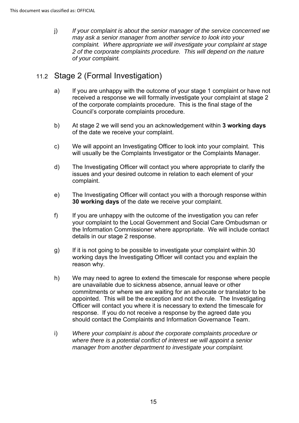j) *If your complaint is about the senior manager of the service concerned we may ask a senior manager from another service to look into your complaint. Where appropriate we will investigate your complaint at stage 2 of the corporate complaints procedure. This will depend on the nature of your complaint.* 

## 11.2 Stage 2 (Formal Investigation)

- received a response we will formally investigate your complaint at stage 2 a) If you are unhappy with the outcome of your stage 1 complaint or have not of the corporate complaints procedure. This is the final stage of the Council's corporate complaints procedure.
- b) At stage 2 we will send you an acknowledgement within **3 working days**  of the date we receive your complaint.
- c) We will appoint an Investigating Officer to look into your complaint. This will usually be the Complaints Investigator or the Complaints Manager.
- d) The Investigating Officer will contact you where appropriate to clarify the issues and your desired outcome in relation to each element of your complaint.
- e) The Investigating Officer will contact you with a thorough response within **30 working days** of the date we receive your complaint.
- f) If you are unhappy with the outcome of the investigation you can refer your complaint to the Local Government and Social Care Ombudsman or the Information Commissioner where appropriate. We will include contact details in our stage 2 response.
- g) If it is not going to be possible to investigate your complaint within 30 working days the Investigating Officer will contact you and explain the reason why.
- response. If you do not receive a response by the agreed date you h) We may need to agree to extend the timescale for response where people are unavailable due to sickness absence, annual leave or other commitments or where we are waiting for an advocate or translator to be appointed. This will be the exception and not the rule. The Investigating Officer will contact you where it is necessary to extend the timescale for should contact the Complaints and Information Governance Team.
- i) *Where your complaint is about the corporate complaints procedure or where there is a potential conflict of interest we will appoint a senior manager from another department to investigate your complaint.*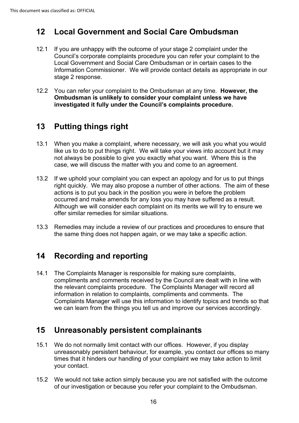## **12 Local Government and Social Care Ombudsman**

- Information Commissioner. We will provide contact details as appropriate in our 12.1 If you are unhappy with the outcome of your stage 2 complaint under the Council's corporate complaints procedure you can refer your complaint to the Local Government and Social Care Ombudsman or in certain cases to the stage 2 response.
- **Ombudsman is unlikely to consider your complaint unless we have**  12.2 You can refer your complaint to the Ombudsman at any time. **However, the investigated it fully under the Council's complaints procedure.**

## **13 Putting things right**

- 13.1 When you make a complaint, where necessary, we will ask you what you would like us to do to put things right. We will take your views into account but it may not always be possible to give you exactly what you want. Where this is the case, we will discuss the matter with you and come to an agreement.
- actions is to put you back in the position you were in before the problem occurred and make amends for any loss you may have suffered as a result. Although we will consider each complaint on its merits we will try to ensure we 13.2 If we uphold your complaint you can expect an apology and for us to put things right quickly. We may also propose a number of other actions. The aim of these offer similar remedies for similar situations.
- 13.3 Remedies may include a review of our practices and procedures to ensure that the same thing does not happen again, or we may take a specific action.

## **14 Recording and reporting**

14.1 The Complaints Manager is responsible for making sure complaints, compliments and comments received by the Council are dealt with in line with the relevant complaints procedure. The Complaints Manager will record all information in relation to complaints, compliments and comments. The Complaints Manager will use this information to identify topics and trends so that we can learn from the things you tell us and improve our services accordingly.

## **15 Unreasonably persistent complainants**

- 15.1 We do not normally limit contact with our offices. However, if you display unreasonably persistent behaviour, for example, you contact our offices so many times that it hinders our handling of your complaint we may take action to limit your contact.
- of our investigation or because you refer your complaint to the Ombudsman.<br>16 15.2 We would not take action simply because you are not satisfied with the outcome